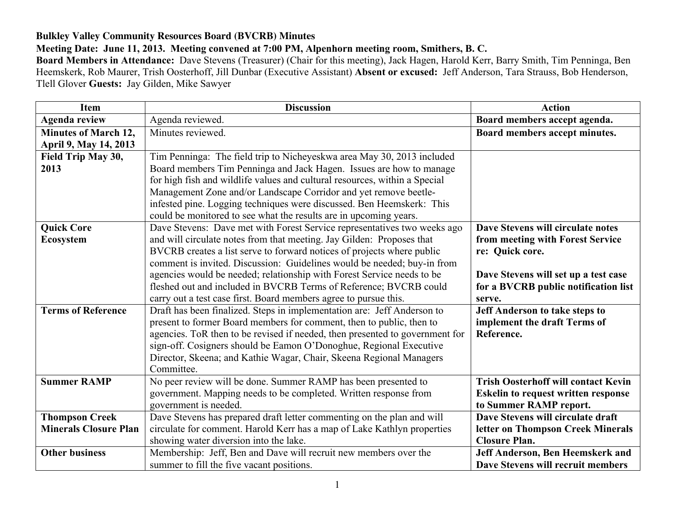## **Bulkley Valley Community Resources Board (BVCRB) Minutes**

## **Meeting Date: June 11, 2013. Meeting convened at 7:00 PM, Alpenhorn meeting room, Smithers, B. C.**

**Board Members in Attendance:** Dave Stevens (Treasurer) (Chair for this meeting), Jack Hagen, Harold Kerr, Barry Smith, Tim Penninga, Ben Heemskerk, Rob Maurer, Trish Oosterhoff, Jill Dunbar (Executive Assistant) **Absent or excused:** Jeff Anderson, Tara Strauss, Bob Henderson, Tlell Glover **Guests:** Jay Gilden, Mike Sawyer

| <b>Item</b>                  | <b>Discussion</b>                                                            | <b>Action</b>                              |
|------------------------------|------------------------------------------------------------------------------|--------------------------------------------|
| <b>Agenda review</b>         | Agenda reviewed.                                                             | Board members accept agenda.               |
| <b>Minutes of March 12,</b>  | Minutes reviewed.                                                            | Board members accept minutes.              |
| April 9, May 14, 2013        |                                                                              |                                            |
| Field Trip May 30,           | Tim Penninga: The field trip to Nicheyeskwa area May 30, 2013 included       |                                            |
| 2013                         | Board members Tim Penninga and Jack Hagen. Issues are how to manage          |                                            |
|                              | for high fish and wildlife values and cultural resources, within a Special   |                                            |
|                              | Management Zone and/or Landscape Corridor and yet remove beetle-             |                                            |
|                              | infested pine. Logging techniques were discussed. Ben Heemskerk: This        |                                            |
|                              | could be monitored to see what the results are in upcoming years.            |                                            |
| <b>Quick Core</b>            | Dave Stevens: Dave met with Forest Service representatives two weeks ago     | Dave Stevens will circulate notes          |
| <b>Ecosystem</b>             | and will circulate notes from that meeting. Jay Gilden: Proposes that        | from meeting with Forest Service           |
|                              | BVCRB creates a list serve to forward notices of projects where public       | re: Quick core.                            |
|                              | comment is invited. Discussion: Guidelines would be needed; buy-in from      |                                            |
|                              | agencies would be needed; relationship with Forest Service needs to be       | Dave Stevens will set up a test case       |
|                              | fleshed out and included in BVCRB Terms of Reference; BVCRB could            | for a BVCRB public notification list       |
|                              | carry out a test case first. Board members agree to pursue this.             | serve.                                     |
| <b>Terms of Reference</b>    | Draft has been finalized. Steps in implementation are: Jeff Anderson to      | Jeff Anderson to take steps to             |
|                              | present to former Board members for comment, then to public, then to         | implement the draft Terms of               |
|                              | agencies. ToR then to be revised if needed, then presented to government for | Reference.                                 |
|                              | sign-off. Cosigners should be Eamon O'Donoghue, Regional Executive           |                                            |
|                              | Director, Skeena; and Kathie Wagar, Chair, Skeena Regional Managers          |                                            |
|                              | Committee.                                                                   |                                            |
| <b>Summer RAMP</b>           | No peer review will be done. Summer RAMP has been presented to               | <b>Trish Oosterhoff will contact Kevin</b> |
|                              | government. Mapping needs to be completed. Written response from             | <b>Eskelin to request written response</b> |
|                              | government is needed.                                                        | to Summer RAMP report.                     |
| <b>Thompson Creek</b>        | Dave Stevens has prepared draft letter commenting on the plan and will       | Dave Stevens will circulate draft          |
| <b>Minerals Closure Plan</b> | circulate for comment. Harold Kerr has a map of Lake Kathlyn properties      | letter on Thompson Creek Minerals          |
|                              | showing water diversion into the lake.                                       | <b>Closure Plan.</b>                       |
| <b>Other business</b>        | Membership: Jeff, Ben and Dave will recruit new members over the             | Jeff Anderson, Ben Heemskerk and           |
|                              | summer to fill the five vacant positions.                                    | Dave Stevens will recruit members          |